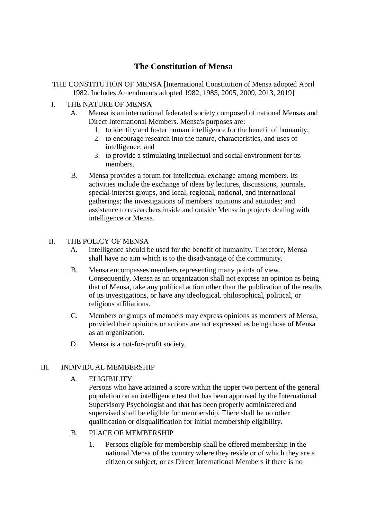# **The Constitution of Mensa**

- THE CONSTITUTION OF MENSA [International Constitution of Mensa adopted April 1982. Includes Amendments adopted 1982, 1985, 2005, 2009, 2013, 2019]
- I. THE NATURE OF MENSA
	- A. Mensa is an international federated society composed of national Mensas and Direct International Members. Mensa's purposes are:
		- 1. to identify and foster human intelligence for the benefit of humanity;
		- 2. to encourage research into the nature, characteristics, and uses of intelligence; and
		- 3. to provide a stimulating intellectual and social environment for its members.
	- B. Mensa provides a forum for intellectual exchange among members. Its activities include the exchange of ideas by lectures, discussions, journals, special-interest groups, and local, regional, national, and international gatherings; the investigations of members' opinions and attitudes; and assistance to researchers inside and outside Mensa in projects dealing with intelligence or Mensa.

### II. THE POLICY OF MENSA

- A. Intelligence should be used for the benefit of humanity. Therefore, Mensa shall have no aim which is to the disadvantage of the community.
- B. Mensa encompasses members representing many points of view. Consequently, Mensa as an organization shall not express an opinion as being that of Mensa, take any political action other than the publication of the results of its investigations, or have any ideological, philosophical, political, or religious affiliations.
- C. Members or groups of members may express opinions as members of Mensa, provided their opinions or actions are not expressed as being those of Mensa as an organization.
- D. Mensa is a not-for-profit society.

# III. INDIVIDUAL MEMBERSHIP

A. ELIGIBILITY

Persons who have attained a score within the upper two percent of the general population on an intelligence test that has been approved by the International Supervisory Psychologist and that has been properly administered and supervised shall be eligible for membership. There shall be no other qualification or disqualification for initial membership eligibility.

- B. PLACE OF MEMBERSHIP
	- 1. Persons eligible for membership shall be offered membership in the national Mensa of the country where they reside or of which they are a citizen or subject, or as Direct International Members if there is no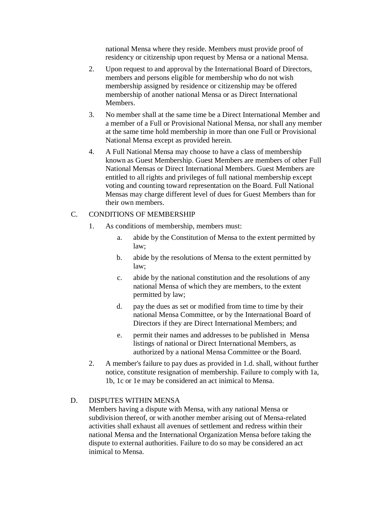national Mensa where they reside. Members must provide proof of residency or citizenship upon request by Mensa or a national Mensa.

- 2. Upon request to and approval by the International Board of Directors, members and persons eligible for membership who do not wish membership assigned by residence or citizenship may be offered membership of another national Mensa or as Direct International Members.
- 3. No member shall at the same time be a Direct International Member and a member of a Full or Provisional National Mensa, nor shall any member at the same time hold membership in more than one Full or Provisional National Mensa except as provided herein.
- 4. A Full National Mensa may choose to have a class of membership known as Guest Membership. Guest Members are members of other Full National Mensas or Direct International Members. Guest Members are entitled to all rights and privileges of full national membership except voting and counting toward representation on the Board. Full National Mensas may charge different level of dues for Guest Members than for their own members.

#### C. CONDITIONS OF MEMBERSHIP

- 1. As conditions of membership, members must:
	- a. abide by the Constitution of Mensa to the extent permitted by law;
	- b. abide by the resolutions of Mensa to the extent permitted by law;
	- c. abide by the national constitution and the resolutions of any national Mensa of which they are members, to the extent permitted by law;
	- d. pay the dues as set or modified from time to time by their national Mensa Committee, or by the International Board of Directors if they are Direct International Members; and
	- e. permit their names and addresses to be published in Mensa listings of national or Direct International Members, as authorized by a national Mensa Committee or the Board.
- 2. A member's failure to pay dues as provided in 1.d. shall, without further notice, constitute resignation of membership. Failure to comply with 1a, 1b, 1c or 1e may be considered an act inimical to Mensa.

#### D. DISPUTES WITHIN MENSA

Members having a dispute with Mensa, with any national Mensa or subdivision thereof, or with another member arising out of Mensa-related activities shall exhaust all avenues of settlement and redress within their national Mensa and the International Organization Mensa before taking the dispute to external authorities. Failure to do so may be considered an act inimical to Mensa.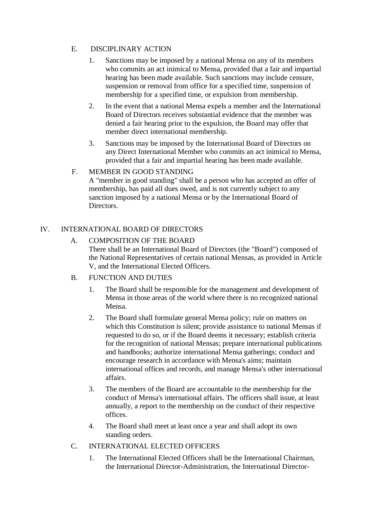# E. DISCIPLINARY ACTION

- 1. Sanctions may be imposed by a national Mensa on any of its members who commits an act inimical to Mensa, provided that a fair and impartial hearing has been made available. Such sanctions may include censure, suspension or removal from office for a specified time, suspension of membership for a specified time, or expulsion from membership.
- 2. In the event that a national Mensa expels a member and the International Board of Directors receives substantial evidence that the member was denied a fair hearing prior to the expulsion, the Board may offer that member direct international membership.
- 3. Sanctions may be imposed by the International Board of Directors on any Direct International Member who commits an act inimical to Mensa, provided that a fair and impartial hearing has been made available.

# F. MEMBER IN GOOD STANDING

A "member in good standing" shall be a person who has accepted an offer of membership, has paid all dues owed, and is not currently subject to any sanction imposed by a national Mensa or by the International Board of Directors.

# IV. INTERNATIONAL BOARD OF DIRECTORS

# A. COMPOSITION OF THE BOARD

There shall be an International Board of Directors (the "Board") composed of the National Representatives of certain national Mensas, as provided in Article V, and the International Elected Officers.

# B. FUNCTION AND DUTIES

- 1. The Board shall be responsible for the management and development of Mensa in those areas of the world where there is no recognized national Mensa.
- 2. The Board shall formulate general Mensa policy; rule on matters on which this Constitution is silent; provide assistance to national Mensas if requested to do so, or if the Board deems it necessary; establish criteria for the recognition of national Mensas; prepare international publications and handbooks; authorize international Mensa gatherings; conduct and encourage research in accordance with Mensa's aims; maintain international offices and records, and manage Mensa's other international affairs.
- 3. The members of the Board are accountable to the membership for the conduct of Mensa's international affairs. The officers shall issue, at least annually, a report to the membership on the conduct of their respective offices.
- 4. The Board shall meet at least once a year and shall adopt its own standing orders.
- C. INTERNATIONAL ELECTED OFFICERS
	- 1. The International Elected Officers shall be the International Chairman, the International Director-Administration, the International Director-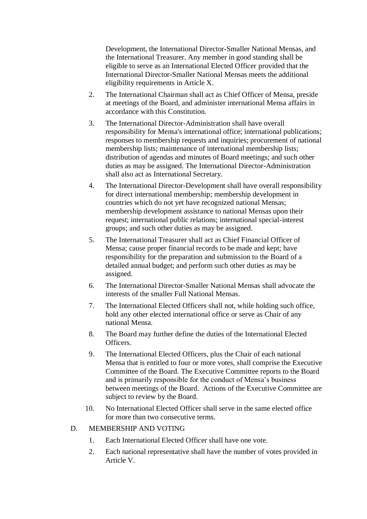Development, the International Director-Smaller National Mensas, and the International Treasurer. Any member in good standing shall be eligible to serve as an International Elected Officer provided that the International Director-Smaller National Mensas meets the additional eligibility requirements in Article X.

- 2. The International Chairman shall act as Chief Officer of Mensa, preside at meetings of the Board, and administer international Mensa affairs in accordance with this Constitution.
- 3. The International Director-Administration shall have overall responsibility for Mensa's international office; international publications; responses to membership requests and inquiries; procurement of national membership lists; maintenance of international membership lists; distribution of agendas and minutes of Board meetings; and such other duties as may be assigned. The International Director-Administration shall also act as International Secretary.
- 4. The International Director-Development shall have overall responsibility for direct international membership; membership development in countries which do not yet have recognized national Mensas; membership development assistance to national Mensas upon their request; international public relations; international special-interest groups; and such other duties as may be assigned.
- 5. The International Treasurer shall act as Chief Financial Officer of Mensa; cause proper financial records to be made and kept; have responsibility for the preparation and submission to the Board of a detailed annual budget; and perform such other duties as may be assigned.
- 6. The International Director-Smaller National Mensas shall advocate the interests of the smaller Full National Mensas.
- 7. The International Elected Officers shall not, while holding such office, hold any other elected international office or serve as Chair of any national Mensa.
- 8. The Board may further define the duties of the International Elected Officers.
- 9. The International Elected Officers, plus the Chair of each national Mensa that is entitled to four or more votes, shall comprise the Executive Committee of the Board. The Executive Committee reports to the Board and is primarily responsible for the conduct of Mensa's business between meetings of the Board. Actions of the Executive Committee are subject to review by the Board.
- 10. No International Elected Officer shall serve in the same elected office for more than two consecutive terms.

# D. MEMBERSHIP AND VOTING

- 1. Each International Elected Officer shall have one vote.
- 2. Each national representative shall have the number of votes provided in Article V.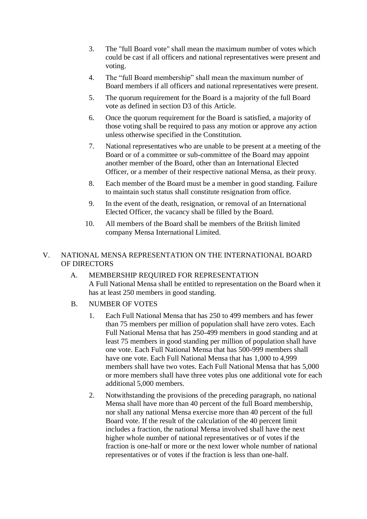- 3. The "full Board vote" shall mean the maximum number of votes which could be cast if all officers and national representatives were present and voting.
- 4. The "full Board membership" shall mean the maximum number of Board members if all officers and national representatives were present.
- 5. The quorum requirement for the Board is a majority of the full Board vote as defined in section D3 of this Article.
- 6. Once the quorum requirement for the Board is satisfied, a majority of those voting shall be required to pass any motion or approve any action unless otherwise specified in the Constitution.
- 7. National representatives who are unable to be present at a meeting of the Board or of a committee or sub-committee of the Board may appoint another member of the Board, other than an International Elected Officer, or a member of their respective national Mensa, as their proxy.
- 8. Each member of the Board must be a member in good standing. Failure to maintain such status shall constitute resignation from office.
- 9. In the event of the death, resignation, or removal of an International Elected Officer, the vacancy shall be filled by the Board.
- 10. All members of the Board shall be members of the British limited company Mensa International Limited.

# V. NATIONAL MENSA REPRESENTATION ON THE INTERNATIONAL BOARD OF DIRECTORS

- A. MEMBERSHIP REQUIRED FOR REPRESENTATION A Full National Mensa shall be entitled to representation on the Board when it has at least 250 members in good standing.
- B. NUMBER OF VOTES
	- 1. Each Full National Mensa that has 250 to 499 members and has fewer than 75 members per million of population shall have zero votes. Each Full National Mensa that has 250-499 members in good standing and at least 75 members in good standing per million of population shall have one vote. Each Full National Mensa that has 500-999 members shall have one vote. Each Full National Mensa that has 1,000 to 4,999 members shall have two votes. Each Full National Mensa that has 5,000 or more members shall have three votes plus one additional vote for each additional 5,000 members.
	- 2. Notwithstanding the provisions of the preceding paragraph, no national Mensa shall have more than 40 percent of the full Board membership, nor shall any national Mensa exercise more than 40 percent of the full Board vote. If the result of the calculation of the 40 percent limit includes a fraction, the national Mensa involved shall have the next higher whole number of national representatives or of votes if the fraction is one-half or more or the next lower whole number of national representatives or of votes if the fraction is less than one-half.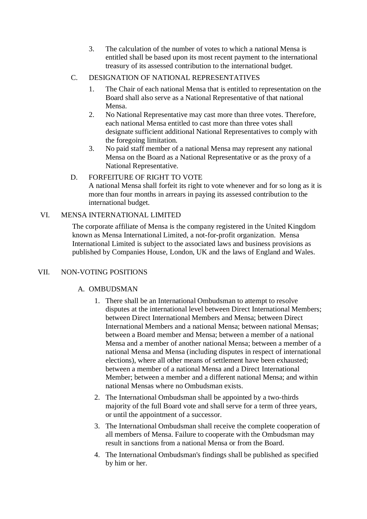- 3. The calculation of the number of votes to which a national Mensa is entitled shall be based upon its most recent payment to the international treasury of its assessed contribution to the international budget.
- C. DESIGNATION OF NATIONAL REPRESENTATIVES
	- 1. The Chair of each national Mensa that is entitled to representation on the Board shall also serve as a National Representative of that national Mensa.
	- 2. No National Representative may cast more than three votes. Therefore, each national Mensa entitled to cast more than three votes shall designate sufficient additional National Representatives to comply with the foregoing limitation.
	- 3. No paid staff member of a national Mensa may represent any national Mensa on the Board as a National Representative or as the proxy of a National Representative.

# D. FORFEITURE OF RIGHT TO VOTE

A national Mensa shall forfeit its right to vote whenever and for so long as it is more than four months in arrears in paying its assessed contribution to the international budget.

# VI. MENSA INTERNATIONAL LIMITED

The corporate affiliate of Mensa is the company registered in the United Kingdom known as Mensa International Limited, a not-for-profit organization. Mensa International Limited is subject to the associated laws and business provisions as published by Companies House, London, UK and the laws of England and Wales.

# VII. NON-VOTING POSITIONS

# A. OMBUDSMAN

- 1. There shall be an International Ombudsman to attempt to resolve disputes at the international level between Direct International Members; between Direct International Members and Mensa; between Direct International Members and a national Mensa; between national Mensas; between a Board member and Mensa; between a member of a national Mensa and a member of another national Mensa; between a member of a national Mensa and Mensa (including disputes in respect of international elections), where all other means of settlement have been exhausted; between a member of a national Mensa and a Direct International Member; between a member and a different national Mensa; and within national Mensas where no Ombudsman exists.
- 2. The International Ombudsman shall be appointed by a two-thirds majority of the full Board vote and shall serve for a term of three years, or until the appointment of a successor.
- 3. The International Ombudsman shall receive the complete cooperation of all members of Mensa. Failure to cooperate with the Ombudsman may result in sanctions from a national Mensa or from the Board.
- 4. The International Ombudsman's findings shall be published as specified by him or her.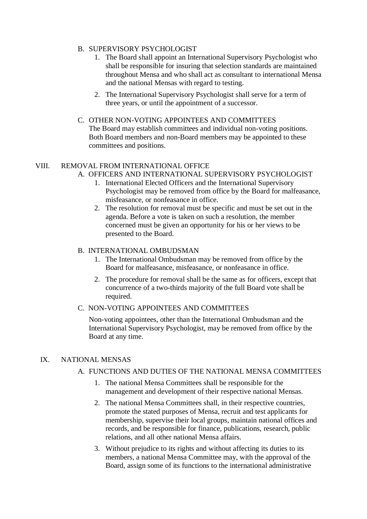### B. SUPERVISORY PSYCHOLOGIST

- 1. The Board shall appoint an International Supervisory Psychologist who shall be responsible for insuring that selection standards are maintained throughout Mensa and who shall act as consultant to international Mensa and the national Mensas with regard to testing.
- 2. The International Supervisory Psychologist shall serve for a term of three years, or until the appointment of a successor.

#### C. OTHER NON-VOTING APPOINTEES AND COMMITTEES

The Board may establish committees and individual non-voting positions. Both Board members and non-Board members may be appointed to these committees and positions.

### VIII. REMOVAL FROM INTERNATIONAL OFFICE

- A. OFFICERS AND INTERNATIONAL SUPERVISORY PSYCHOLOGIST
	- 1. International Elected Officers and the International Supervisory Psychologist may be removed from office by the Board for malfeasance, misfeasance, or nonfeasance in office.
	- 2. The resolution for removal must be specific and must be set out in the agenda. Before a vote is taken on such a resolution, the member concerned must be given an opportunity for his or her views to be presented to the Board.

#### B. INTERNATIONAL OMBUDSMAN

- 1. The International Ombudsman may be removed from office by the Board for malfeasance, misfeasance, or nonfeasance in office.
- 2. The procedure for removal shall be the same as for officers, except that concurrence of a two-thirds majority of the full Board vote shall be required.

#### C. NON-VOTING APPOINTEES AND COMMITTEES

Non-voting appointees, other than the International Ombudsman and the International Supervisory Psychologist, may be removed from office by the Board at any time.

#### IX. NATIONAL MENSAS

#### A. FUNCTIONS AND DUTIES OF THE NATIONAL MENSA COMMITTEES

- 1. The national Mensa Committees shall be responsible for the management and development of their respective national Mensas.
- 2. The national Mensa Committees shall, in their respective countries, promote the stated purposes of Mensa, recruit and test applicants for membership, supervise their local groups, maintain national offices and records, and be responsible for finance, publications, research, public relations, and all other national Mensa affairs.
- 3. Without prejudice to its rights and without affecting its duties to its members, a national Mensa Committee may, with the approval of the Board, assign some of its functions to the international administrative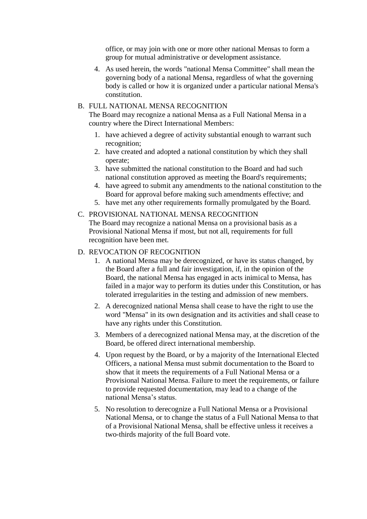office, or may join with one or more other national Mensas to form a group for mutual administrative or development assistance.

4. As used herein, the words "national Mensa Committee" shall mean the governing body of a national Mensa, regardless of what the governing body is called or how it is organized under a particular national Mensa's constitution.

### B. FULL NATIONAL MENSA RECOGNITION

The Board may recognize a national Mensa as a Full National Mensa in a country where the Direct International Members:

- 1. have achieved a degree of activity substantial enough to warrant such recognition;
- 2. have created and adopted a national constitution by which they shall operate;
- 3. have submitted the national constitution to the Board and had such national constitution approved as meeting the Board's requirements;
- 4. have agreed to submit any amendments to the national constitution to the Board for approval before making such amendments effective; and
- 5. have met any other requirements formally promulgated by the Board.

#### C. PROVISIONAL NATIONAL MENSA RECOGNITION

The Board may recognize a national Mensa on a provisional basis as a Provisional National Mensa if most, but not all, requirements for full recognition have been met.

### D. REVOCATION OF RECOGNITION

- 1. A national Mensa may be derecognized, or have its status changed, by the Board after a full and fair investigation, if, in the opinion of the Board, the national Mensa has engaged in acts inimical to Mensa, has failed in a major way to perform its duties under this Constitution, or has tolerated irregularities in the testing and admission of new members.
- 2. A derecognized national Mensa shall cease to have the right to use the word "Mensa" in its own designation and its activities and shall cease to have any rights under this Constitution.
- 3. Members of a derecognized national Mensa may, at the discretion of the Board, be offered direct international membership.
- 4. Upon request by the Board, or by a majority of the International Elected Officers, a national Mensa must submit documentation to the Board to show that it meets the requirements of a Full National Mensa or a Provisional National Mensa. Failure to meet the requirements, or failure to provide requested documentation, may lead to a change of the national Mensa's status.
- 5. No resolution to derecognize a Full National Mensa or a Provisional National Mensa, or to change the status of a Full National Mensa to that of a Provisional National Mensa, shall be effective unless it receives a two-thirds majority of the full Board vote.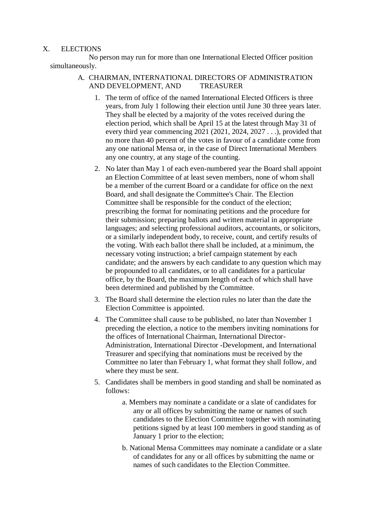### X. ELECTIONS

No person may run for more than one International Elected Officer position simultaneously.

### A. CHAIRMAN, INTERNATIONAL DIRECTORS OF ADMINISTRATION AND DEVELOPMENT, AND TREASURER

- 1. The term of office of the named International Elected Officers is three years, from July 1 following their election until June 30 three years later. They shall be elected by a majority of the votes received during the election period, which shall be April 15 at the latest through May 31 of every third year commencing 2021 (2021, 2024, 2027 . . .), provided that no more than 40 percent of the votes in favour of a candidate come from any one national Mensa or, in the case of Direct International Members any one country, at any stage of the counting.
- 2. No later than May 1 of each even-numbered year the Board shall appoint an Election Committee of at least seven members, none of whom shall be a member of the current Board or a candidate for office on the next Board, and shall designate the Committee's Chair. The Election Committee shall be responsible for the conduct of the election; prescribing the format for nominating petitions and the procedure for their submission; preparing ballots and written material in appropriate languages; and selecting professional auditors, accountants, or solicitors, or a similarly independent body, to receive, count, and certify results of the voting. With each ballot there shall be included, at a minimum, the necessary voting instruction; a brief campaign statement by each candidate; and the answers by each candidate to any question which may be propounded to all candidates, or to all candidates for a particular office, by the Board, the maximum length of each of which shall have been determined and published by the Committee.
- 3. The Board shall determine the election rules no later than the date the Election Committee is appointed.
- 4. The Committee shall cause to be published, no later than November 1 preceding the election, a notice to the members inviting nominations for the offices of International Chairman, International Director-Administration, International Director -Development, and International Treasurer and specifying that nominations must be received by the Committee no later than February 1, what format they shall follow, and where they must be sent.
- 5. Candidates shall be members in good standing and shall be nominated as follows:
	- a. Members may nominate a candidate or a slate of candidates for any or all offices by submitting the name or names of such candidates to the Election Committee together with nominating petitions signed by at least 100 members in good standing as of January 1 prior to the election;
	- b. National Mensa Committees may nominate a candidate or a slate of candidates for any or all offices by submitting the name or names of such candidates to the Election Committee.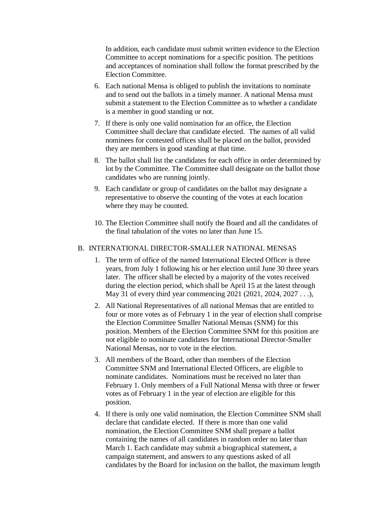In addition, each candidate must submit written evidence to the Election Committee to accept nominations for a specific position. The petitions and acceptances of nomination shall follow the format prescribed by the Election Committee.

- 6. Each national Mensa is obliged to publish the invitations to nominate and to send out the ballots in a timely manner. A national Mensa must submit a statement to the Election Committee as to whether a candidate is a member in good standing or not.
- 7. If there is only one valid nomination for an office, the Election Committee shall declare that candidate elected. The names of all valid nominees for contested offices shall be placed on the ballot, provided they are members in good standing at that time.
- 8. The ballot shall list the candidates for each office in order determined by lot by the Committee. The Committee shall designate on the ballot those candidates who are running jointly.
- 9. Each candidate or group of candidates on the ballot may designate a representative to observe the counting of the votes at each location where they may be counted.
- 10. The Election Committee shall notify the Board and all the candidates of the final tabulation of the votes no later than June 15.

#### B. INTERNATIONAL DIRECTOR-SMALLER NATIONAL MENSAS

- 1. The term of office of the named International Elected Officer is three years, from July 1 following his or her election until June 30 three years later. The officer shall be elected by a majority of the votes received during the election period, which shall be April 15 at the latest through May 31 of every third year commencing 2021 (2021, 2024, 2027 . . .),
- 2. All National Representatives of all national Mensas that are entitled to four or more votes as of February 1 in the year of election shall comprise the Election Committee Smaller National Mensas (SNM) for this position. Members of the Election Committee SNM for this position are not eligible to nominate candidates for International Director-Smaller National Mensas, nor to vote in the election.
- 3. All members of the Board, other than members of the Election Committee SNM and International Elected Officers, are eligible to nominate candidates. Nominations must be received no later than February 1. Only members of a Full National Mensa with three or fewer votes as of February 1 in the year of election are eligible for this position.
- 4. If there is only one valid nomination, the Election Committee SNM shall declare that candidate elected. If there is more than one valid nomination, the Election Committee SNM shall prepare a ballot containing the names of all candidates in random order no later than March 1. Each candidate may submit a biographical statement, a campaign statement, and answers to any questions asked of all candidates by the Board for inclusion on the ballot, the maximum length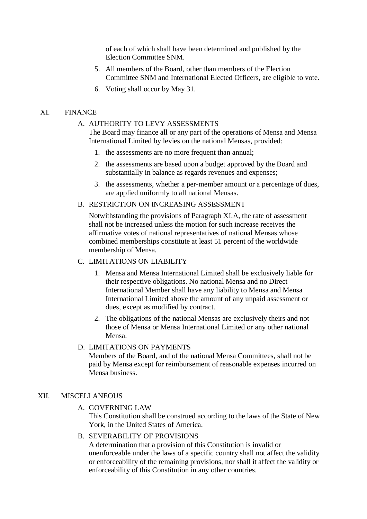of each of which shall have been determined and published by the Election Committee SNM.

- 5. All members of the Board, other than members of the Election Committee SNM and International Elected Officers, are eligible to vote.
- 6. Voting shall occur by May 31.

### XI. FINANCE

#### A. AUTHORITY TO LEVY ASSESSMENTS

The Board may finance all or any part of the operations of Mensa and Mensa International Limited by levies on the national Mensas, provided:

- 1. the assessments are no more frequent than annual;
- 2. the assessments are based upon a budget approved by the Board and substantially in balance as regards revenues and expenses;
- 3. the assessments, whether a per-member amount or a percentage of dues, are applied uniformly to all national Mensas.
- B. RESTRICTION ON INCREASING ASSESSMENT

Notwithstanding the provisions of Paragraph XI.A, the rate of assessment shall not be increased unless the motion for such increase receives the affirmative votes of national representatives of national Mensas whose combined memberships constitute at least 51 percent of the worldwide membership of Mensa.

#### C. LIMITATIONS ON LIABILITY

- 1. Mensa and Mensa International Limited shall be exclusively liable for their respective obligations. No national Mensa and no Direct International Member shall have any liability to Mensa and Mensa International Limited above the amount of any unpaid assessment or dues, except as modified by contract.
- 2. The obligations of the national Mensas are exclusively theirs and not those of Mensa or Mensa International Limited or any other national Mensa.

# D. LIMITATIONS ON PAYMENTS

Members of the Board, and of the national Mensa Committees, shall not be paid by Mensa except for reimbursement of reasonable expenses incurred on Mensa business.

### XII. MISCELLANEOUS

A. GOVERNING LAW

This Constitution shall be construed according to the laws of the State of New York, in the United States of America.

B. SEVERABILITY OF PROVISIONS

A determination that a provision of this Constitution is invalid or unenforceable under the laws of a specific country shall not affect the validity or enforceability of the remaining provisions, nor shall it affect the validity or enforceability of this Constitution in any other countries.